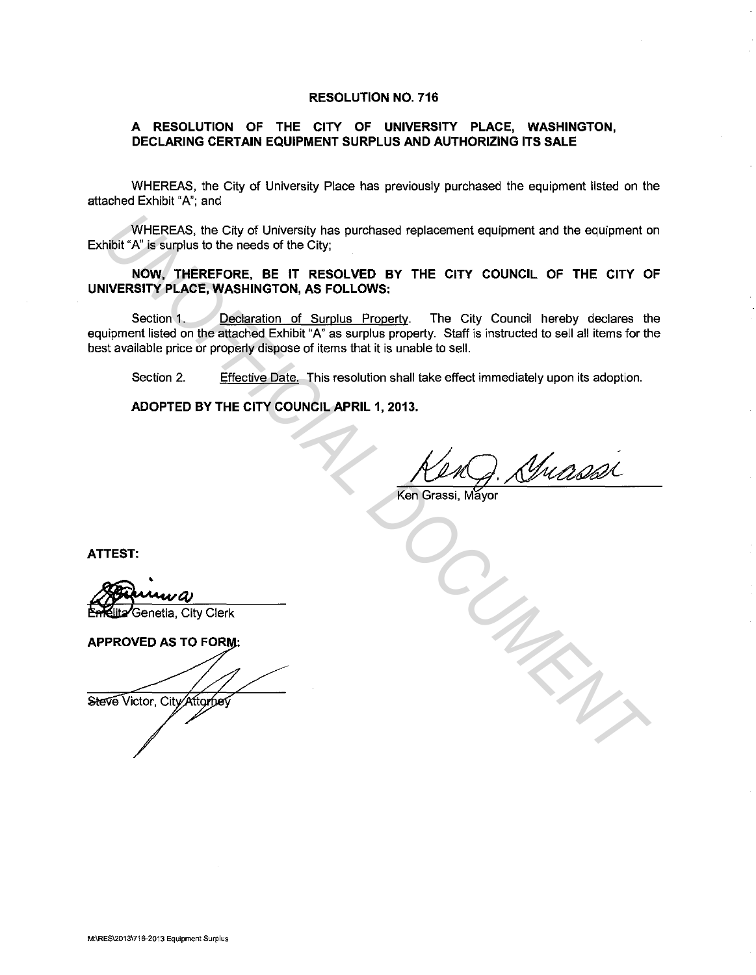## **RESOLUTION NO. 716**

## **A RESOLUTION OF THE CITY OF UNIVERSITY PLACE, WASHINGTON, DECLARING CERTAIN EQUIPMENT SURPLUS AND AUTHORIZING ITS SALE**

WHEREAS, the City of University Place has previously purchased the equipment listed on the attached Exhibit "A"; and

WHEREAS, the City of University has purchased replacement equipment and the equipment on Exhibit "A" is surplus to the needs of the City;

**NOW, THEREFORE, BE IT RESOLVED BY THE CITY COUNCIL OF THE CITY OF UNIVERSITY PLACE, WASHINGTON, AS FOLLOWS:** 

Section 1. Declaration of Surplus Property. The City Council hereby declares the equipment listed on the attached Exhibit "A" as surplus property. Staff is instructed to sell all items for the best available price or properly dispose of items that it is unable to sell. WHEREAS, the City of University has purchased replacement equipment and the eculpment<br>
No<sup>FICIAL</sup> Willis surplus to the needs of the City,<br> **UNOFICIAL DOCUMENTAL DOCUMENTAL DOCUMENTAL OF THE CITY COUNCIL OF THE CITY OF UNC** 

Section 2. Effective Date. This resolution shall take effect immediately upon its adoption.

**ADOPTED BY THE CITY COUNCIL APRIL 1, 2013.** 

Ken Grassi, Mayor

**ATTEST:** 

Genetia, City Clerk